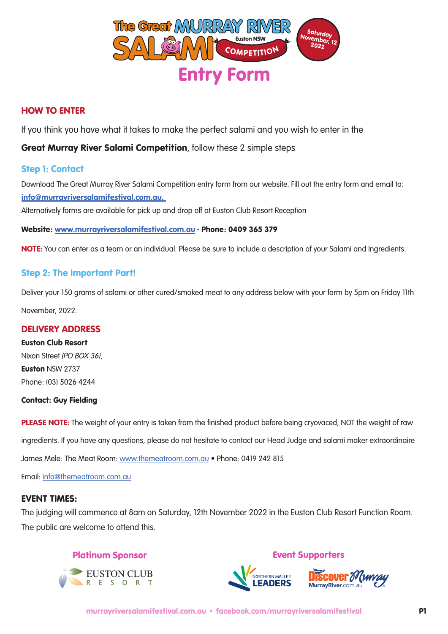

# HOW TO ENTER

If you think you have what it takes to make the perfect salami and you wish to enter in the

# Great Murray River Salami Competition, follow these 2 simple steps

### Step 1: Contact

Download The Great Murray River Salami Competition entry form from our website. Fill out the entry form and email to: info@murrayriversalamifestival.com.au.

Alternatively forms are available for pick up and drop off at Euston Club Resort Reception

Website: www.murrayriversalamifestival.com.au - Phone: 0409 365 379

NOTE: You can enter as a team or an individual. Please be sure to include a description of your Salami and Ingredients.

# Step 2: The Important Part!

Deliver your 150 grams of salami or other cured/smoked meat to any address below with your form by 5pm on Friday 11th November, 2022.

### DELIVERY ADDRESS

### Euston Club Resort

Nixon Street *(PO BOX 36)*, Euston NSW 2737 Phone: (03) 5026 4244

#### Contact: Guy Fielding

PLEASE NOTE: The weight of your entry is taken from the finished product before being cryovaced, NOT the weight of raw ingredients. If you have any questions, please do not hesitate to contact our Head Judge and salami maker extraordinaire James Mele: The Meat Room: www.themeatroom.com.au • Phone: 0419 242 815

Email: info@themeatroom.com.au

### EVENT TIMES:

The judging will commence at 8am on Saturday, 12th November 2022 in the Euston Club Resort Function Room. The public are welcome to attend this.

# Platinum Sponsor



Event Supporters